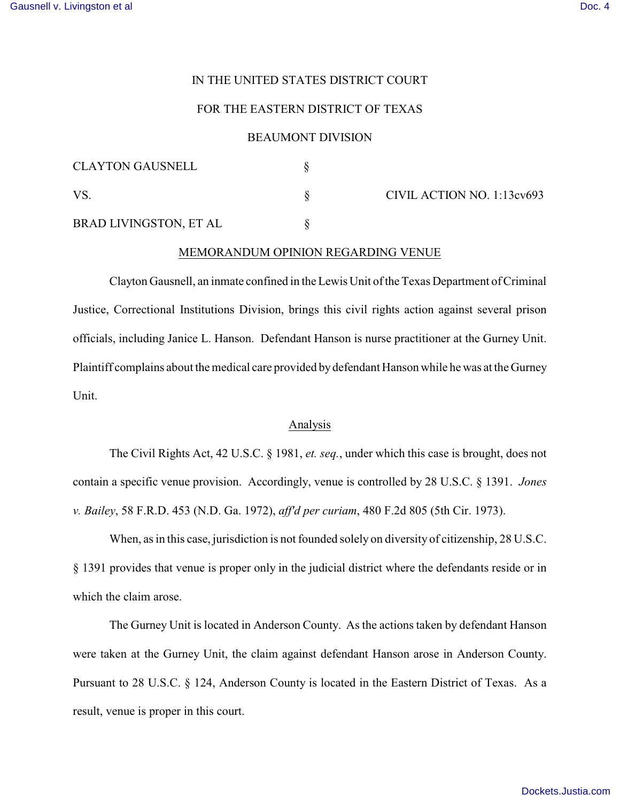# IN THE UNITED STATES DISTRICT COURT

# FOR THE EASTERN DISTRICT OF TEXAS

### BEAUMONT DIVISION

| <b>CLAYTON GAUSNELL</b> |                            |
|-------------------------|----------------------------|
| VS                      | CIVIL ACTION NO. 1:13cv693 |
| BRAD LIVINGSTON, ET AL  |                            |

## MEMORANDUM OPINION REGARDING VENUE

Clayton Gausnell, an inmate confined in the Lewis Unit ofthe Texas Department of Criminal Justice, Correctional Institutions Division, brings this civil rights action against several prison officials, including Janice L. Hanson. Defendant Hanson is nurse practitioner at the Gurney Unit. Plaintiff complains about the medical care provided by defendant Hanson while he was at the Gurney Unit.

#### Analysis

The Civil Rights Act, 42 U.S.C. § 1981, *et. seq.*, under which this case is brought, does not contain a specific venue provision. Accordingly, venue is controlled by 28 U.S.C. § 1391. *Jones v. Bailey*, 58 F.R.D. 453 (N.D. Ga. 1972), *aff'd per curiam*, 480 F.2d 805 (5th Cir. 1973).

When, as in this case, jurisdiction is not founded solely on diversity of citizenship, 28 U.S.C. § 1391 provides that venue is proper only in the judicial district where the defendants reside or in which the claim arose.

The Gurney Unit is located in Anderson County. As the actions taken by defendant Hanson were taken at the Gurney Unit, the claim against defendant Hanson arose in Anderson County. Pursuant to 28 U.S.C. § 124, Anderson County is located in the Eastern District of Texas. As a result, venue is proper in this court.